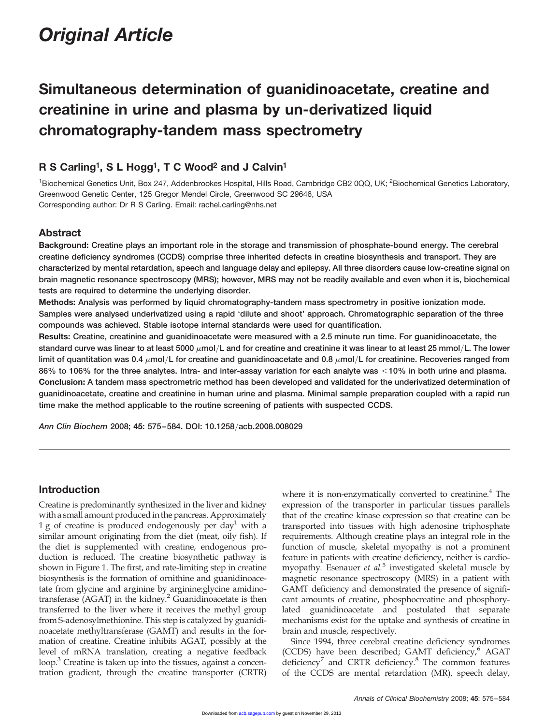# Original Article

# Simultaneous determination of guanidinoacetate, creatine and creatinine in urine and plasma by un-derivatized liquid chromatography-tandem mass spectrometry

# R S Carling<sup>1</sup>, S L Hogg<sup>1</sup>, T C Wood<sup>2</sup> and J Calvin<sup>1</sup>

<sup>1</sup>Biochemical Genetics Unit, Box 247, Addenbrookes Hospital, Hills Road, Cambridge CB2 0QQ, UK; <sup>2</sup>Biochemical Genetics Laboratory, Greenwood Genetic Center, 125 Gregor Mendel Circle, Greenwood SC 29646, USA Corresponding author: Dr R S Carling. Email: rachel.carling@nhs.net

## Abstract

Background: Creatine plays an important role in the storage and transmission of phosphate-bound energy. The cerebral creatine deficiency syndromes (CCDS) comprise three inherited defects in creatine biosynthesis and transport. They are characterized by mental retardation, speech and language delay and epilepsy. All three disorders cause low-creatine signal on brain magnetic resonance spectroscopy (MRS); however, MRS may not be readily available and even when it is, biochemical tests are required to determine the underlying disorder.

Methods: Analysis was performed by liquid chromatography-tandem mass spectrometry in positive ionization mode. Samples were analysed underivatized using a rapid 'dilute and shoot' approach. Chromatographic separation of the three compounds was achieved. Stable isotope internal standards were used for quantification.

Results: Creatine, creatinine and guanidinoacetate were measured with a 2.5 minute run time. For guanidinoacetate, the standard curve was linear to at least 5000  $\mu$ mol/L and for creatine and creatinine it was linear to at least 25 mmol/L. The lower limit of quantitation was 0.4  $\mu$ mol/L for creatine and guanidinoacetate and 0.8  $\mu$ mol/L for creatinine. Recoveries ranged from 86% to 106% for the three analytes. Intra- and inter-assay variation for each analyte was <10% in both urine and plasma. Conclusion: A tandem mass spectrometric method has been developed and validated for the underivatized determination of guanidinoacetate, creatine and creatinine in human urine and plasma. Minimal sample preparation coupled with a rapid run time make the method applicable to the routine screening of patients with suspected CCDS.

Ann Clin Biochem 2008; 45: 575–584. DOI: 10.1258/acb.2008.008029

## Introduction

Creatine is predominantly synthesized in the liver and kidney with a small amount produced in the pancreas. Approximately 1 g of creatine is produced endogenously per day<sup>1</sup> with a similar amount originating from the diet (meat, oily fish). If the diet is supplemented with creatine, endogenous production is reduced. The creatine biosynthetic pathway is shown in Figure 1. The first, and rate-limiting step in creatine biosynthesis is the formation of ornithine and guanidinoacetate from glycine and arginine by arginine:glycine amidinotransferase (AGAT) in the kidney.<sup>2</sup> Guanidinoacetate is then transferred to the liver where it receives the methyl group from S-adenosylmethionine. This step is catalyzed by guanidinoacetate methyltransferase (GAMT) and results in the formation of creatine. Creatine inhibits AGAT, possibly at the level of mRNA translation, creating a negative feedback loop.<sup>3</sup> Creatine is taken up into the tissues, against a concentration gradient, through the creatine transporter (CRTR)

where it is non-enzymatically converted to creatinine.<sup>4</sup> The expression of the transporter in particular tissues parallels that of the creatine kinase expression so that creatine can be transported into tissues with high adenosine triphosphate requirements. Although creatine plays an integral role in the function of muscle, skeletal myopathy is not a prominent feature in patients with creatine deficiency, neither is cardiomyopathy. Esenauer  $et$   $al.^5$  investigated skeletal muscle by magnetic resonance spectroscopy (MRS) in a patient with GAMT deficiency and demonstrated the presence of significant amounts of creatine, phosphocreatine and phosphorylated guanidinoacetate and postulated that separate mechanisms exist for the uptake and synthesis of creatine in brain and muscle, respectively.

Since 1994, three cerebral creatine deficiency syndromes (CCDS) have been described; GAMT deficiency,<sup>6</sup> AGAT deficiency<sup>7</sup> and CRTR deficiency.<sup>8</sup> The common features of the CCDS are mental retardation (MR), speech delay,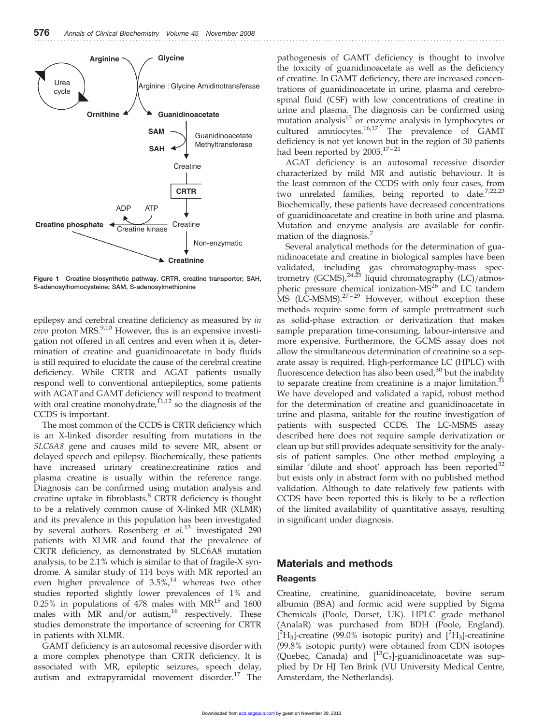

Figure 1 Creatine biosynthetic pathway. CRTR, creatine transporter; SAH, S-adenosylhomocysteine; SAM, S-adenosylmethionine

epilepsy and cerebral creatine deficiency as measured by in  $vivo$  proton MRS. $9,10$  However, this is an expensive investigation not offered in all centres and even when it is, determination of creatine and guanidinoacetate in body fluids is still required to elucidate the cause of the cerebral creatine deficiency. While CRTR and AGAT patients usually respond well to conventional antiepileptics, some patients with AGAT and GAMT deficiency will respond to treatment with oral creatine monohydrate, $11,12$  so the diagnosis of the CCDS is important.

The most common of the CCDS is CRTR deficiency which is an X-linked disorder resulting from mutations in the SLC6A8 gene and causes mild to severe MR, absent or delayed speech and epilepsy. Biochemically, these patients have increased urinary creatine:creatinine ratios and plasma creatine is usually within the reference range. Diagnosis can be confirmed using mutation analysis and creatine uptake in fibroblasts.<sup>8</sup> CRTR deficiency is thought to be a relatively common cause of X-linked MR (XLMR) and its prevalence in this population has been investigated by several authors. Rosenberg et al.<sup>13</sup> investigated 290 patients with XLMR and found that the prevalence of CRTR deficiency, as demonstrated by SLC6A8 mutation analysis, to be 2.1% which is similar to that of fragile-X syndrome. A similar study of 114 boys with MR reported an even higher prevalence of  $3.5\%,^{14}$  whereas two other studies reported slightly lower prevalences of 1% and  $0.25\%$  in populations of 478 males with MR<sup>15</sup> and 1600 males with MR and/or autism,<sup>16</sup> respectively. These studies demonstrate the importance of screening for CRTR in patients with XLMR.

GAMT deficiency is an autosomal recessive disorder with a more complex phenotype than CRTR deficiency. It is associated with MR, epileptic seizures, speech delay, autism and extrapyramidal movement disorder.<sup>17</sup> The

pathogenesis of GAMT deficiency is thought to involve the toxicity of guanidinoacetate as well as the deficiency of creatine. In GAMT deficiency, there are increased concentrations of guanidinoacetate in urine, plasma and cerebrospinal fluid (CSF) with low concentrations of creatine in urine and plasma. The diagnosis can be confirmed using mutation analysis $15$  or enzyme analysis in lymphocytes or cultured amniocytes.<sup>16,17</sup> The prevalence of GAMT deficiency is not yet known but in the region of 30 patients had been reported by  $2005$ .<sup>17-21</sup>

AGAT deficiency is an autosomal recessive disorder characterized by mild MR and autistic behaviour. It is the least common of the CCDS with only four cases, from two unrelated families, being reported to date.<sup>7,22,23</sup> Biochemically, these patients have decreased concentrations of guanidinoacetate and creatine in both urine and plasma. Mutation and enzyme analysis are available for confirmation of the diagnosis.<sup>7</sup>

Several analytical methods for the determination of guanidinoacetate and creatine in biological samples have been validated, including gas chromatography-mass spectrometry  $(GCMS)$ ,  $^{24,25}$  liquid chromatography  $(LC)/atmos$ pheric pressure chemical ionization-MS<sup>26</sup> and LC tandem MS (LC-MSMS). $27-29$  However, without exception these methods require some form of sample pretreatment such as solid-phase extraction or derivatization that makes sample preparation time-consuming, labour-intensive and more expensive. Furthermore, the GCMS assay does not allow the simultaneous determination of creatinine so a separate assay is required. High-performance LC (HPLC) with fluorescence detection has also been used,<sup>30</sup> but the inability to separate creatine from creatinine is a major limitation. $31$ We have developed and validated a rapid, robust method for the determination of creatine and guanidinoacetate in urine and plasma, suitable for the routine investigation of patients with suspected CCDS. The LC-MSMS assay described here does not require sample derivatization or clean up but still provides adequate sensitivity for the analysis of patient samples. One other method employing a similar 'dilute and shoot' approach has been reported<sup>32</sup> but exists only in abstract form with no published method validation. Although to date relatively few patients with CCDS have been reported this is likely to be a reflection of the limited availability of quantitative assays, resulting in significant under diagnosis.

### Materials and methods

#### Reagents

Creatine, creatinine, guanidinoacetate, bovine serum albumin (BSA) and formic acid were supplied by Sigma Chemicals (Poole, Dorset, UK). HPLC grade methanol (AnalaR) was purchased from BDH (Poole, England).  $[^{2}H_{3}]$ -creatine (99.0% isotopic purity) and  $[^{2}H_{3}]$ -creatinine (99.8% isotopic purity) were obtained from CDN isotopes (Quebec, Canada) and  $[^{13}C_2]$ -guanidinoacetate was supplied by Dr HJ Ten Brink (VU University Medical Centre, Amsterdam, the Netherlands).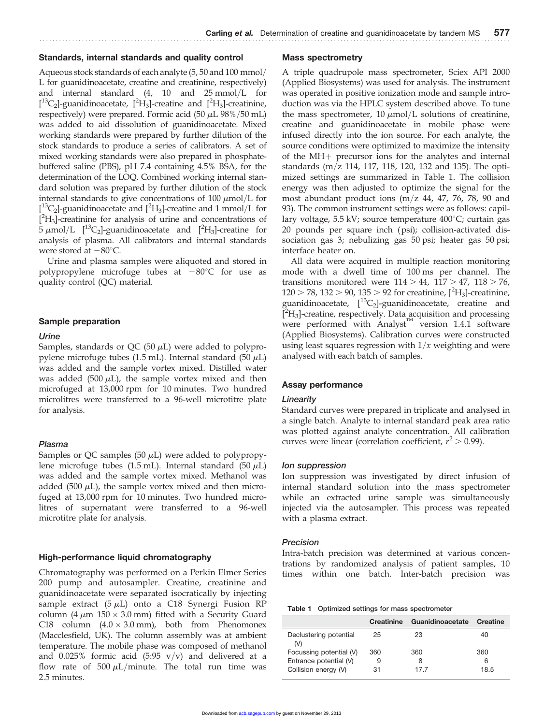#### Standards, internal standards and quality control

Aqueous stock standards of each analyte (5, 50 and 100 mmol/ L for guanidinoacetate, creatine and creatinine, respectively) and internal standard (4, 10 and 25 mmol/L for  $[^{13}C_2]$ -guanidinoacetate,  $[^{2}H_{3}]$ -creatine and  $[^{2}H_{3}]$ -creatinine, respectively) were prepared. Formic acid (50  $\mu$ L 98%/50 mL) was added to aid dissolution of guanidinoacetate. Mixed working standards were prepared by further dilution of the stock standards to produce a series of calibrators. A set of mixed working standards were also prepared in phosphatebuffered saline (PBS), pH 7.4 containing 4.5% BSA, for the determination of the LOQ. Combined working internal standard solution was prepared by further dilution of the stock internal standards to give concentrations of 100  $\mu$ mol/L for  $\binom{13}{2}$ -guanidinoacetate and  $\binom{2}{1}$ -creatine and 1 mmol/L for  $[^{2}H_{3}]$ -creatinine for analysis of urine and concentrations of  $5 \mu \text{mol/L}$  [<sup>13</sup>C<sub>2</sub>]-guanidinoacetate and [<sup>2</sup>H<sub>3</sub>]-creatine for analysis of plasma. All calibrators and internal standards were stored at  $-80^{\circ}$ C.

Urine and plasma samples were aliquoted and stored in polypropylene microfuge tubes at  $-80^{\circ}$ C for use as quality control (QC) material.

#### Sample preparation

#### Urine

Samples, standards or QC  $(50 \mu L)$  were added to polypropylene microfuge tubes (1.5 mL). Internal standard (50  $\mu$ L) was added and the sample vortex mixed. Distilled water was added (500  $\mu$ L), the sample vortex mixed and then microfuged at 13,000 rpm for 10 minutes. Two hundred microlitres were transferred to a 96-well microtitre plate for analysis.

#### Plasma

Samples or QC samples (50  $\mu$ L) were added to polypropylene microfuge tubes (1.5 mL). Internal standard (50  $\mu$ L) was added and the sample vortex mixed. Methanol was added (500  $\mu$ L), the sample vortex mixed and then microfuged at 13,000 rpm for 10 minutes. Two hundred microlitres of supernatant were transferred to a 96-well microtitre plate for analysis.

#### High-performance liquid chromatography

Chromatography was performed on a Perkin Elmer Series 200 pump and autosampler. Creatine, creatinine and guanidinoacetate were separated isocratically by injecting sample extract  $(5 \mu L)$  onto a C18 Synergi Fusion RP column (4  $\mu$ m 150  $\times$  3.0 mm) fitted with a Security Guard C18 column  $(4.0 \times 3.0 \text{ mm})$ , both from Phenomonex (Macclesfield, UK). The column assembly was at ambient temperature. The mobile phase was composed of methanol and 0.025% formic acid (5:95 v/v) and delivered at a flow rate of  $500 \mu L/min$  The total run time was 2.5 minutes.

#### Mass spectrometry

A triple quadrupole mass spectrometer, Sciex API 2000 (Applied Biosystems) was used for analysis. The instrument was operated in positive ionization mode and sample introduction was via the HPLC system described above. To tune the mass spectrometer,  $10 \mu \text{mol/L}$  solutions of creatinine, creatine and guanidinoacetate in mobile phase were infused directly into the ion source. For each analyte, the source conditions were optimized to maximize the intensity of the  $MH+$  precursor ions for the analytes and internal standards (m/z 114, 117, 118, 120, 132 and 135). The optimized settings are summarized in Table 1. The collision energy was then adjusted to optimize the signal for the most abundant product ions (m/z 44, 47, 76, 78, 90 and 93). The common instrument settings were as follows: capillary voltage,  $5.5$  kV; source temperature  $400^{\circ}$ C; curtain gas 20 pounds per square inch (psi); collision-activated dissociation gas 3; nebulizing gas 50 psi; heater gas 50 psi; interface heater on.

All data were acquired in multiple reaction monitoring mode with a dwell time of 100 ms per channel. The transitions monitored were  $114 > 44$ ,  $117 > 47$ ,  $118 > 76$ ,  $120 > 78$ ,  $132 > 90$ ,  $135 > 92$  for creatinine,  $[^{2}H_{3}]$ -creatinine, guanidinoacetate,  $[$ <sup>13</sup>C<sub>2</sub>]-guanidinoacetate, creatine and  $\left[\frac{2}{3}H_3\right]$ -creatine, respectively. Data acquisition and processing were performed with Analyst<sup>™</sup> version  $1.4.1$  software (Applied Biosystems). Calibration curves were constructed using least squares regression with  $1/x$  weighting and were analysed with each batch of samples.

#### Assay performance

#### **Linearity**

Standard curves were prepared in triplicate and analysed in a single batch. Analyte to internal standard peak area ratio was plotted against analyte concentration. All calibration curves were linear (correlation coefficient,  $r^2 > 0.99$ ).

#### Ion suppression

Ion suppression was investigated by direct infusion of internal standard solution into the mass spectrometer while an extracted urine sample was simultaneously injected via the autosampler. This process was repeated with a plasma extract.

#### Precision

Intra-batch precision was determined at various concentrations by randomized analysis of patient samples, 10 times within one batch. Inter-batch precision was

| Table 1 Optimized settings for mass spectrometer |  |  |  |  |  |
|--------------------------------------------------|--|--|--|--|--|
|--------------------------------------------------|--|--|--|--|--|

|                               | Creatinine | Guanidinoacetate | Creatine |
|-------------------------------|------------|------------------|----------|
| Declustering potential<br>(N) | 25         | 23               | 40       |
| Focussing potential (V)       | 360        | 360              | 360      |
| Entrance potential (V)        | 9          | 8                | 6        |
| Collision energy (V)          | 31         | 177              | 18.5     |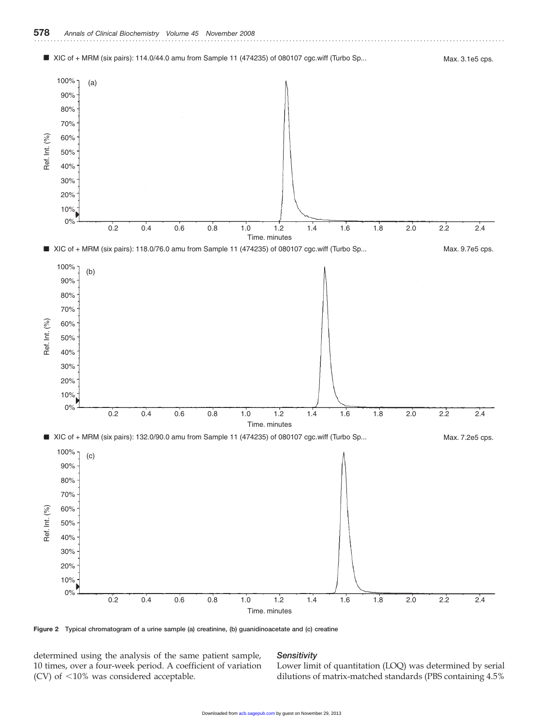

Time. minutes

Figure 2 Typical chromatogram of a urine sample (a) creatinine, (b) guanidinoacetate and (c) creatine

determined using the analysis of the same patient sample, Sensitivity 10 times, over a four-week period. A coefficient of variation Lower limit of quantitation (LOQ) was determined by serial (CV) of  $\leq$ 10% was considered acceptable.  $\qquad \qquad$  dilutions of matrix-matched standards (PBS containing 4.5%)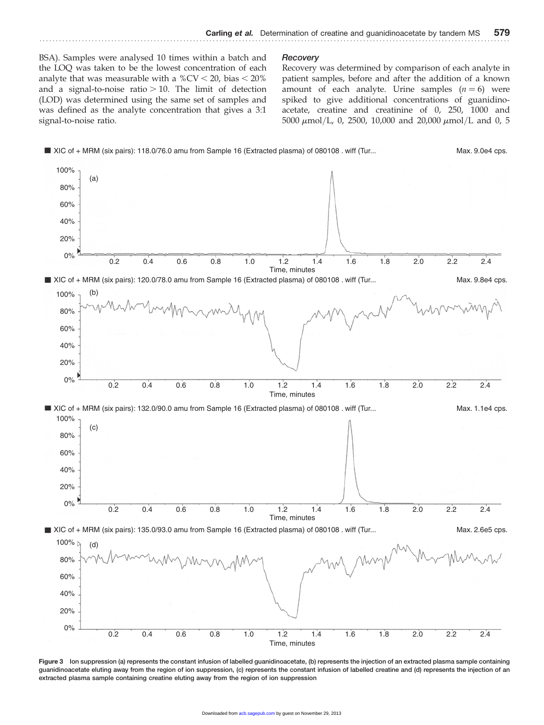BSA). Samples were analysed 10 times within a batch and **Recovery** the LOQ was taken to be the lowest concentration of each Recovery was determined by comparison of each analyte in analyte that was measurable with a  $\%$ CV < 20, bias < 20% patient samples, before and after the addition of a known and a signal-to-noise ratio > 10. The limit of detection amount of each analyte. Urine samples  $(n = 6)$  were (LOD) was determined using the same set of samples and spiked to give additional concentrations of guanidinowas defined as the analyte concentration that gives a 3:1 acetate, creatine and creatinine of 0, 250, 1000 and

signal-to-noise ratio.  $5000 \mu \text{mol/L}$ , 0, 2500, 10,000 and 20,000  $\mu \text{mol/L}$  and 0, 5



Figure 3 Ion suppression (a) represents the constant infusion of labelled guanidinoacetate, (b) represents the injection of an extracted plasma sample containing guanidinoacetate eluting away from the region of ion suppression, (c) represents the constant infusion of labelled creatine and (d) represents the injection of an extracted plasma sample containing creatine eluting away from the region of ion suppression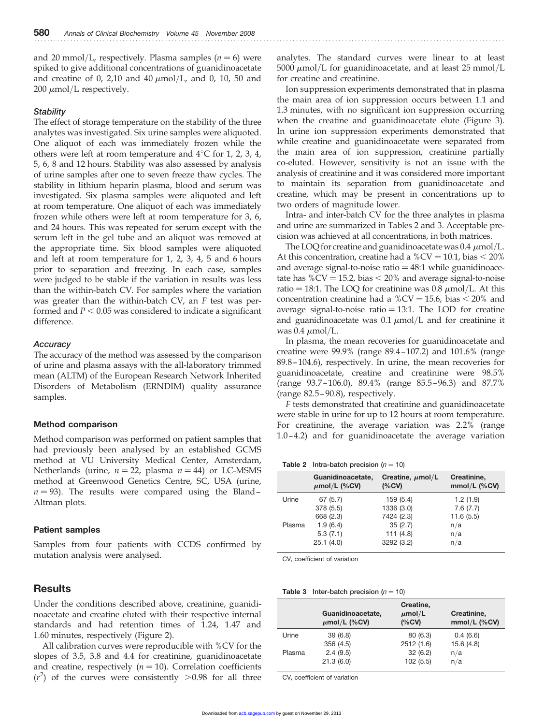and 20 mmol/L, respectively. Plasma samples  $(n = 6)$  were spiked to give additional concentrations of guanidinoacetate and creatine of 0, 2,10 and 40  $\mu$ mol/L, and 0, 10, 50 and  $200 \mu$ mol/L respectively.

#### **Stability**

The effect of storage temperature on the stability of the three analytes was investigated. Six urine samples were aliquoted. One aliquot of each was immediately frozen while the others were left at room temperature and  $4^{\circ}$ C for 1, 2, 3, 4, 5, 6, 8 and 12 hours. Stability was also assessed by analysis of urine samples after one to seven freeze thaw cycles. The stability in lithium heparin plasma, blood and serum was investigated. Six plasma samples were aliquoted and left at room temperature. One aliquot of each was immediately frozen while others were left at room temperature for 3, 6, and 24 hours. This was repeated for serum except with the serum left in the gel tube and an aliquot was removed at the appropriate time. Six blood samples were aliquoted and left at room temperature for 1, 2, 3, 4, 5 and 6 hours prior to separation and freezing. In each case, samples were judged to be stable if the variation in results was less than the within-batch CV. For samples where the variation was greater than the within-batch CV, an F test was performed and  $P < 0.05$  was considered to indicate a significant difference.

#### **Accuracy**

The accuracy of the method was assessed by the comparison of urine and plasma assays with the all-laboratory trimmed mean (ALTM) of the European Research Network Inherited Disorders of Metabolism (ERNDIM) quality assurance samples.

#### Method comparison

Method comparison was performed on patient samples that had previously been analysed by an established GCMS method at VU University Medical Center, Amsterdam, Netherlands (urine,  $n = 22$ , plasma  $n = 44$ ) or LC-MSMS method at Greenwood Genetics Centre, SC, USA (urine,  $n = 93$ ). The results were compared using the Bland-Altman plots.

#### Patient samples

Samples from four patients with CCDS confirmed by mutation analysis were analysed.

### Results

Under the conditions described above, creatinine, guanidinoacetate and creatine eluted with their respective internal standards and had retention times of 1.24, 1.47 and 1.60 minutes, respectively (Figure 2).

All calibration curves were reproducible with %CV for the slopes of 3.5, 3.8 and 4.4 for creatinine, guanidinoacetate and creatine, respectively  $(n = 10)$ . Correlation coefficients  $(r^2)$  of the curves were consistently >0.98 for all three

analytes. The standard curves were linear to at least 5000  $\mu$ mol/L for guanidinoacetate, and at least 25 mmol/L for creatine and creatinine.

Ion suppression experiments demonstrated that in plasma the main area of ion suppression occurs between 1.1 and 1.3 minutes, with no significant ion suppression occurring when the creatine and guanidinoacetate elute (Figure 3). In urine ion suppression experiments demonstrated that while creatine and guanidinoacetate were separated from the main area of ion suppression, creatinine partially co-eluted. However, sensitivity is not an issue with the analysis of creatinine and it was considered more important to maintain its separation from guanidinoacetate and creatine, which may be present in concentrations up to two orders of magnitude lower.

Intra- and inter-batch CV for the three analytes in plasma and urine are summarized in Tables 2 and 3. Acceptable precision was achieved at all concentrations, in both matrices.

The LOQ for creatine and guanidinoacetate was  $0.4 \mu$ mol/L. At this concentration, creatine had a %CV = 10.1, bias  $<$  20% and average signal-to-noise ratio  $= 48:1$  while guanidinoacetate has  $\%$ CV = 15.2, bias < 20% and average signal-to-noise ratio = 18:1. The LOQ for creatinine was 0.8  $\mu$ mol/L. At this concentration creatinine had a % $CV = 15.6$ , bias < 20% and average signal-to-noise ratio  $= 13:1$ . The LOD for creatine and guanidinoacetate was  $0.1 \mu \text{mol/L}$  and for creatinine it was  $0.4 \mu$ mol/L.

In plasma, the mean recoveries for guanidinoacetate and creatine were 99.9% (range 89.4 – 107.2) and 101.6% (range 89.8 – 104.6), respectively. In urine, the mean recoveries for guanidinoacetate, creatine and creatinine were 98.5% (range 93.7 –106.0), 89.4% (range 85.5 –96.3) and 87.7% (range 82.5 – 90.8), respectively.

F tests demonstrated that creatinine and guanidinoacetate were stable in urine for up to 12 hours at room temperature. For creatinine, the average variation was 2.2% (range 1.0 –4.2) and for guanidinoacetate the average variation

Table 2 Intra-batch precision  $(n = 10)$ 

|        | Guanidinoacetate,<br>$\mu$ mol/L (%CV) | Creatine, $\mu$ mol/L<br>(%CV) | Creatinine,<br>$mmol/L$ (%CV) |
|--------|----------------------------------------|--------------------------------|-------------------------------|
| Urine  | 67(5.7)                                | 159(5.4)                       | 1.2(1.9)                      |
|        | 378 (5.5)                              | 1336 (3.0)                     | 7.6(7.7)                      |
|        | 668 (2.3)                              | 7424 (2.3)                     | 11.6(5.5)                     |
| Plasma | 1.9(6.4)                               | 35(2.7)                        | n/a                           |
|        | 5.3(7.1)                               | 111(4.8)                       | n/a                           |
|        | 25.1(4.0)                              | 3292 (3.2)                     | n/a                           |

CV, coefficient of variation

Table 3 Inter-batch precision ( $n = 10$ )

|        | Guanidinoacetate,<br>$\mu$ mol/L (%CV) | Creatine,<br>$\mu$ mol/L<br>(%CV) | Creatinine,<br>$mmol/L$ (%CV) |
|--------|----------------------------------------|-----------------------------------|-------------------------------|
| Urine  | 39(6.8)                                | 80 (6.3)                          | 0.4(6.6)                      |
|        | 356 (4.5)                              | 2512 (1.6)                        | 15.6(4.8)                     |
| Plasma | 2.4(9.5)                               | 32(6.2)                           | n/a                           |
|        | 21.3(6.0)                              | 102(5.5)                          | n/a                           |

CV, coefficient of variation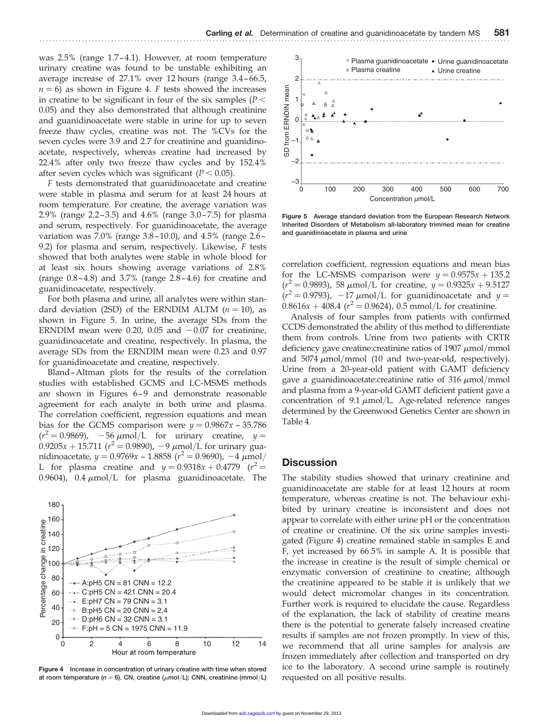was 2.5% (range 1.7–4.1). However, at room temperature 3 urinary creatine was found to be unstable exhibiting an average increase of  $27.1\%$  over 12 hours (range  $3.4-66.5$ , 2  $n = 6$ ) as shown in Figure 4. F tests showed the increases in creatine to be significant in four of the six samples ( $P <$ 0.05) and they also demonstrated that although creatinine and guanidinoacetate were stable in urine for up to seven freeze thaw cycles, creatine was not. The %CVs for the seven cycles were 3.9 and 2.7 for creatinine and guanidinoacetate, respectively, whereas creatine had increased by 22.4% after only two freeze thaw cycles and by 152.4% after seven cycles which was significant ( $P < 0.05$ ).

F tests demonstrated that guanidinoacetate and creatine were stable in plasma and serum for at least 24 hours at room temperature. For creatine, the average variation was 2.9% (range 2.2– 3.5) and 4.6% (range 3.0 –7.5) for plasma and serum, respectively. For guanidinoacetate, the average variation was 7.0% (range 3.8– 10.0), and 4.5% (range 2.6– 9.2) for plasma and serum, respectively. Likewise, F tests showed that both analytes were stable in whole blood for at least six hours showing average variations of 2.8% (range  $0.8-4.8$ ) and  $3.7\%$  (range  $2.8-4.6$ ) for creatine and guanidinoacetate, respectively.

For both plasma and urine, all analytes were within standard deviation (2SD) of the ERNDIM ALTM  $(n = 10)$ , as shown in Figure 5. In urine, the average SDs from the ERNDIM mean were 0.20, 0.05 and  $-0.07$  for creatinine, guanidinoacetate and creatine, respectively. In plasma, the average SDs from the ERNDIM mean were 0.23 and 0.97 for guanidinoacetate and creatine, respectively.

Bland –Altman plots for the results of the correlation studies with established GCMS and LC-MSMS methods are shown in Figures 6-9 and demonstrate reasonable agreement for each analyte in both urine and plasma. The correlation coefficient, regression equations and mean bias for the GCMS comparison were  $y = 0.9867x - 35.786$  $(r^2 = 0.9869)$ ,  $-56 \mu$ mol/L for urinary creatine,  $y =$  $0.9205x + 15.711$  ( $r^2 = 0.9890$ ),  $-9 \mu$ mol/L for urinary guamidinoacetate,  $y = 0.9769x - 1.8858$  ( $r^2 = 0.9690$ ),  $-4 \mu$ mol/ L for plasma creatine and  $y = 0.9318x + 0.4779$  ( $r^2 =$ 0.9604), 0.4  $\mu$ mol/L for plasma guanidinoacetate. The







Figure 5 Average standard deviation from the European Research Network Inherited Disorders of Metabolism all-laboratory trimmed mean for creatine and guanidinoacetate in plasma and urine

correlation coefficient, regression equations and mean bias for the LC-MSMS comparison were  $y = 0.9575x + 135.2$  $(r^2 = 0.9893)$ , 58  $\mu$ mol/L for creatine,  $y = 0.9325x + 9.5127$  $(r^2 = 0.9793)$ , -17  $\mu$ mol/L for guanidinoacetate and  $y =$  $0.8616x + 408.4$  ( $r^2 = 0.9624$ ), 0.5 mmol/L for creatinine.

Analysis of four samples from patients with confirmed CCDS demonstrated the ability of this method to differentiate them from controls. Urine from two patients with CRTR deficiency gave creatine: creatinine ratios of  $1907 \mu$ mol/mmol and  $5074 \mu$ mol/mmol (10 and two-year-old, respectively). Urine from a 20-year-old patient with GAMT deficiency gave a guanidinoacetate: creatinine ratio of  $316 \mu$ mol/mmol and plasma from a 9-year-old GAMT deficient patient gave a concentration of 9.1  $\mu$ mol/L. Age-related reference ranges determined by the Greenwood Genetics Center are shown in Table 4.

### **Discussion**

The stability studies showed that urinary creatinine and guanidinoacetate are stable for at least 12 hours at room temperature, whereas creatine is not. The behaviour exhiappear to correlate with either urine pH or the concentration of creatine or creatinine. Of the six urine samples investigated (Figure 4) creatine remained stable in samples E and F, yet increased by 66.5% in sample A. It is possible that the increase in creatine is the result of simple chemical or enzymatic conversion of creatinine to creatine; although the creatinine appeared to be stable it is unlikely that we would detect micromolar changes in its concentration. Further work is required to elucidate the cause. Regardless of the explanation, the lack of stability of creatine means there is the potential to generate falsely increased creatine results if samples are not frozen promptly. In view of this, we recommend that all urine samples for analysis are frozen immediately after collection and transported on dry ice to the laboratory. A second urine sample is routinely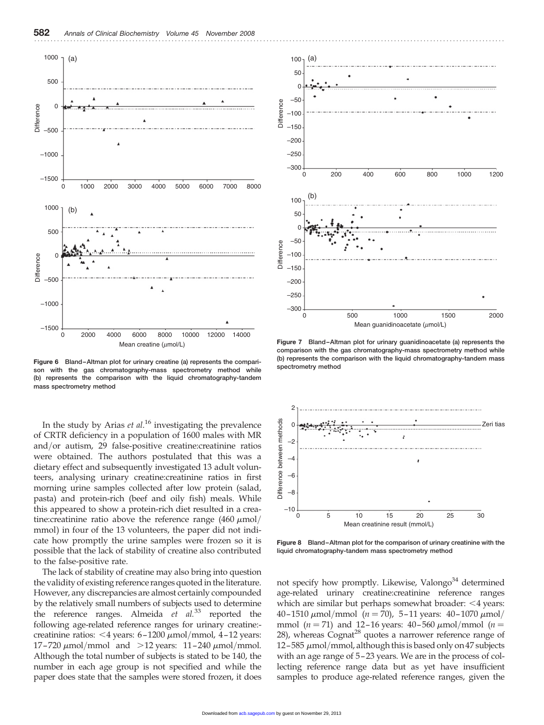

Figure 6 Bland–Altman plot for urinary creatine (a) represents the compari- (b) represents the comparison with the liquid chromatography-tandem mass<br>son with the gas chromatography-mass spectrometry method while spectr (b) represents the comparison with the liquid chromatography-tandem mass spectrometry method

of CRTR deficiency in a population of 1600 males with MR In the study by Arias *et al.*<sup>16</sup> investigating the prevalence<br>of CRTR deficiency in a population of 1600 males with MR<br>and/or autism, 29 false-positive creatine:creatinine ratios  $\frac{1}{6}$  and<br>were obtained. The authors were obtained. The authors postulated that this was a  $\frac{8}{5}$  -4 dietary effect and subsequently investigated 13 adult volunteers, analysing urinary creatine:creatinine ratios in first morning urine samples collected after low protein (salad, pasta) and protein-rich (beef and oily fish) meals. While this appeared to show a protein-rich diet resulted in a creatine: creatinine ratio above the reference range  $(460 \mu mol)$ mmol) in four of the 13 volunteers, the paper did not indicate how promptly the urine samples were frozen so it is possible that the lack of stability of creatine also contributed to the false-positive rate.

The lack of stability of creatine may also bring into question the validity of existing reference ranges quoted in the literature. However, any discrepancies are almost certainly compounded by the relatively small numbers of subjects used to determine the reference ranges. Almeida  $et$   $al.^{33}$  reported the following age-related reference ranges for urinary creatine: creatinine ratios:  $<$ 4 years: 6–1200  $\mu$ mol/mmol, 4–12 years: 17–720  $\mu$ mol/mmol and >12 years: 11–240  $\mu$ mol/mmol. Although the total number of subjects is stated to be 140, the number in each age group is not specified and while the paper does state that the samples were stored frozen, it does



Mean creatine (umol/L) **Figure 7** Bland–Altman plot for urinary guanidinoacetate (a) represents the **manulaned while**<br>comparison with the gas chromatography-mass spectrometry method while



Figure 8 Bland –Altman plot for the comparison of urinary creatinine with the liquid chromatography-tandem mass spectrometry method

not specify how promptly. Likewise, Valongo<sup>34</sup> determined age-related urinary creatine:creatinine reference ranges which are similar but perhaps somewhat broader:  $\leq 4$  years: 40–1510  $\mu$ mol/mmol (*n* = 70), 5–11 years: 40–1070  $\mu$ mol/ mmol (*n* = 71) and 12–16 years: 40–560  $\mu$ mol/mmol (*n* = 28), whereas Cognat<sup>28</sup> quotes a narrower reference range of 12–585  $\mu$ mol/mmol, although this is based only on 47 subjects with an age range of 5–23 years. We are in the process of collecting reference range data but as yet have insufficient samples to produce age-related reference ranges, given the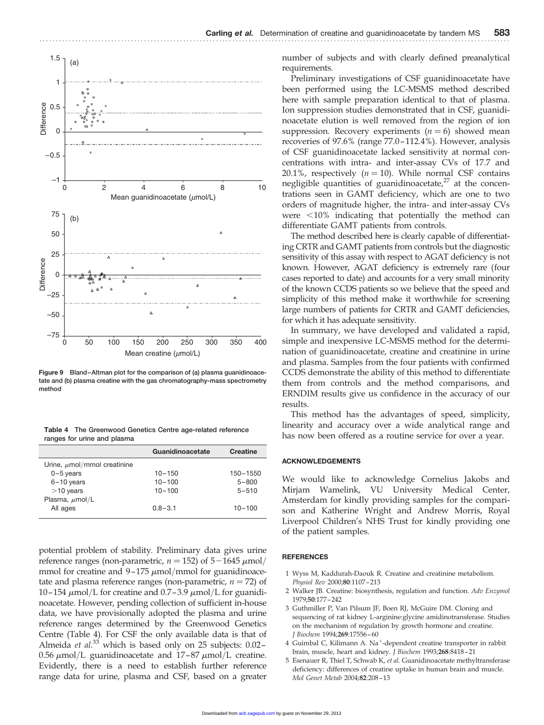

Figure 9 Bland –Altman plot for the comparison of (a) plasma guanidinoacetate and (b) plasma creatine with the gas chromatography-mass spectrometry method

Table 4 The Greenwood Genetics Centre age-related reference ranges for urine and plasma

|                                  | Guanidinoacetate | Creatine   |
|----------------------------------|------------------|------------|
| Urine, $\mu$ mol/mmol creatinine |                  |            |
| $0-5$ years                      | $10 - 150$       | 150-1550   |
| $6 - 10$ years                   | $10 - 100$       | $5 - 800$  |
| $>10$ years                      | $10 - 100$       | $5 - 510$  |
| Plasma, $\mu$ mol/L              |                  |            |
| All ages                         | $0.8 - 3.1$      | $10 - 100$ |
|                                  |                  |            |

potential problem of stability. Preliminary data gives urine reference ranges (non-parametric,  $n = 152$ ) of  $5-1645 \mu \text{mol}$ mmol for creatine and  $9-175 \mu$ mol/mmol for guanidinoacetate and plasma reference ranges (non-parametric,  $n = 72$ ) of 10–154  $\mu$ mol/L for creatine and 0.7–3.9  $\mu$ mol/L for guanidinoacetate. However, pending collection of sufficient in-house data, we have provisionally adopted the plasma and urine reference ranges determined by the Greenwood Genetics Centre (Table 4). For CSF the only available data is that of Almeida et  $al^{33}$  which is based only on 25 subjects: 0.02-0.56  $\mu$ mol/L guanidinoacetate and 17-87  $\mu$ mol/L creatine. Evidently, there is a need to establish further reference range data for urine, plasma and CSF, based on a greater

(a) number of subjects and with clearly defined preanalytical requirements.

Preliminary investigations of CSF guanidinoacetate have been performed using the LC-MSMS method described noacetate elution is well removed from the region of ion  $\overrightarrow{0}$  suppression. Recovery experiments ( $n = 6$ ) showed mean recoveries of 97.6% (range 77.0 – 112.4%). However, analysis centrations with intra- and inter-assay CVs of 17.7 and 20.1%, respectively  $(n = 10)$ . While normal CSF contains negligible quantities of guanidinoacetate, $27$  at the concentrations seen in GAMT deficiency, which are one to two orders of magnitude higher, the intra- and inter-assay CVs were  $<$ 10% indicating that potentially the method can differentiate GAMT patients from controls.

> The method described here is clearly capable of differentiating CRTR and GAMT patients from controls but the diagnostic sensitivity of this assay with respect to AGAT deficiency is not known. However, AGAT deficiency is extremely rare (four cases reported to date) and accounts for a very small minority of the known CCDS patients so we believe that the speed and simplicity of this method make it worthwhile for screening large numbers of patients for CRTR and GAMT deficiencies, for which it has adequate sensitivity.

> In summary, we have developed and validated a rapid, simple and inexpensive LC-MSMS method for the determination of guanidinoacetate, creatine and creatinine in urine and plasma. Samples from the four patients with confirmed CCDS demonstrate the ability of this method to differentiate them from controls and the method comparisons, and ERNDIM results give us confidence in the accuracy of our results.

> This method has the advantages of speed, simplicity, linearity and accuracy over a wide analytical range and has now been offered as a routine service for over a year.

#### ACKNOWLEDGEMENTS

We would like to acknowledge Cornelius Jakobs and Mirjam Wamelink, VU University Medical Center, Amsterdam for kindly providing samples for the comparison and Katherine Wright and Andrew Morris, Royal Liverpool Children's NHS Trust for kindly providing one of the patient samples.

#### **REFERENCES**

- 1 Wyss M, Kaddurah-Daouk R. Creatine and creatinine metabolism. Physiol Rev 2000;80:1107 – 213
- 2 Walker JB. Creatine: biosynthesis, regulation and function. Adv Enzymol 1979;50:177 –242
- 3 Guthmiller P, Van Pilsum JF, Boen RJ, McGuire DM. Cloning and sequencing of rat kidney L-arginine:glycine amidinotransferase. Studies on the mechanism of regulation by growth hormone and creatine. J Biochem 1994;269:17556 – 60
- 4 Guimbal C, Kilimann A. Na<sup>+</sup>-dependent creatine transporter in rabbit brain, muscle, heart and kidney. J Biochem 1993;268:8418-21
- 5 Esenauer R, Thiel T, Schwab K, et al. Guanidinoacetate methyltransferase deficiency: differences of creatine uptake in human brain and muscle. Mol Genet Metab 2004;82:208 –13